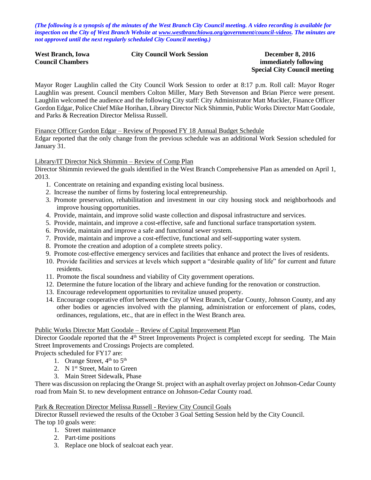*(The following is a synopsis of the minutes of the West Branch City Council meeting. A video recording is available for inspection on the City of West Branch Website at [www.westbranchiowa.org/government/council-videos.](http://www.westbranchiowa.org/government/council-videos) The minutes are not approved until the next regularly scheduled City Council meeting.)*

| West Branch, Iowa       |  |
|-------------------------|--|
| <b>Council Chambers</b> |  |

#### **City Council Work Session December 8, 2016**

# **immediately following Special City Council meeting**

Mayor Roger Laughlin called the City Council Work Session to order at 8:17 p.m. Roll call: Mayor Roger Laughlin was present. Council members Colton Miller, Mary Beth Stevenson and Brian Pierce were present. Laughlin welcomed the audience and the following City staff: City Administrator Matt Muckler, Finance Officer Gordon Edgar, Police Chief Mike Horihan, Library Director Nick Shimmin, Public Works Director Matt Goodale, and Parks & Recreation Director Melissa Russell.

Finance Officer Gordon Edgar – Review of Proposed FY 18 Annual Budget Schedule

Edgar reported that the only change from the previous schedule was an additional Work Session scheduled for January 31.

### Library/IT Director Nick Shimmin – Review of Comp Plan

Director Shimmin reviewed the goals identified in the West Branch Comprehensive Plan as amended on April 1, 2013.

- 1. Concentrate on retaining and expanding existing local business.
- 2. Increase the number of firms by fostering local entrepreneurship.
- 3. Promote preservation, rehabilitation and investment in our city housing stock and neighborhoods and improve housing opportunities.
- 4. Provide, maintain, and improve solid waste collection and disposal infrastructure and services.
- 5. Provide, maintain, and improve a cost-effective, safe and functional surface transportation system.
- 6. Provide, maintain and improve a safe and functional sewer system.
- 7. Provide, maintain and improve a cost-effective, functional and self-supporting water system.
- 8. Promote the creation and adoption of a complete streets policy.
- 9. Promote cost-effective emergency services and facilities that enhance and protect the lives of residents.
- 10. Provide facilities and services at levels which support a "desirable quality of life" for current and future residents.
- 11. Promote the fiscal soundness and viability of City government operations.
- 12. Determine the future location of the library and achieve funding for the renovation or construction.
- 13. Encourage redevelopment opportunities to revitalize unused property.
- 14. Encourage cooperative effort between the City of West Branch, Cedar County, Johnson County, and any other bodies or agencies involved with the planning, administration or enforcement of plans, codes, ordinances, regulations, etc., that are in effect in the West Branch area.

#### Public Works Director Matt Goodale – Review of Capital Improvement Plan

Director Goodale reported that the 4<sup>th</sup> Street Improvements Project is completed except for seeding. The Main Street Improvements and Crossings Projects are completed.

Projects scheduled for FY17 are:

- 1. Orange Street,  $4<sup>th</sup>$  to  $5<sup>th</sup>$
- 2. N  $1<sup>st</sup>$  Street, Main to Green
- 3. Main Street Sidewalk, Phase

There was discussion on replacing the Orange St. project with an asphalt overlay project on Johnson-Cedar County road from Main St. to new development entrance on Johnson-Cedar County road.

#### Park & Recreation Director Melissa Russell - Review City Council Goals

Director Russell reviewed the results of the October 3 Goal Setting Session held by the City Council. The top 10 goals were:

- 1. Street maintenance
- 2. Part-time positions
- 3. Replace one block of sealcoat each year.